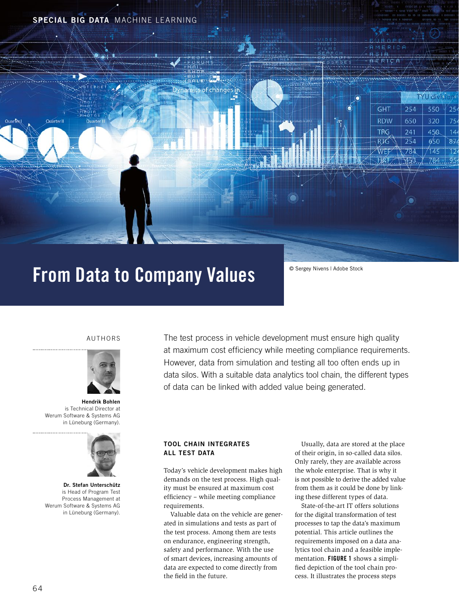

# From Data to Company Values

© Sergey Nivens | Adobe Stock

#### AUTHORS



Hendrik Bohlen is Technical Director at Werum Software & Systems AG in Lüneburg (Germany).



Dr. Stefan Unterschütz is Head of Program Test Process Management at Werum Software & Systems AG in Lüneburg (Germany).

The test process in vehicle development must ensure high quality at maximum cost efficiency while meeting compliance requirements. However, data from simulation and testing all too often ends up in data silos. With a suitable data analytics tool chain, the different types of data can be linked with added value being generated.

# TOOL CHAIN INTEGRATES ALL TEST DATA

Today's vehicle development makes high demands on the test process. High quality must be ensured at maximum cost efficiency – while meeting compliance requirements.

Valuable data on the vehicle are generated in simulations and tests as part of the test process. Among them are tests on endurance, engineering strength, safety and performance. With the use of smart devices, increasing amounts of data are expected to come directly from the field in the future.

Usually, data are stored at the place of their origin, in so-called data silos. Only rarely, they are available across the whole enterprise. That is why it is not possible to derive the added value from them as it could be done by linking these different types of data.

State-of-the-art IT offers solutions for the digital transformation of test processes to tap the data's maximum potential. This article outlines the requirements imposed on a data analytics tool chain and a feasible implementation. FIGURE 1 shows a simplified depiction of the tool chain process. It illustrates the process steps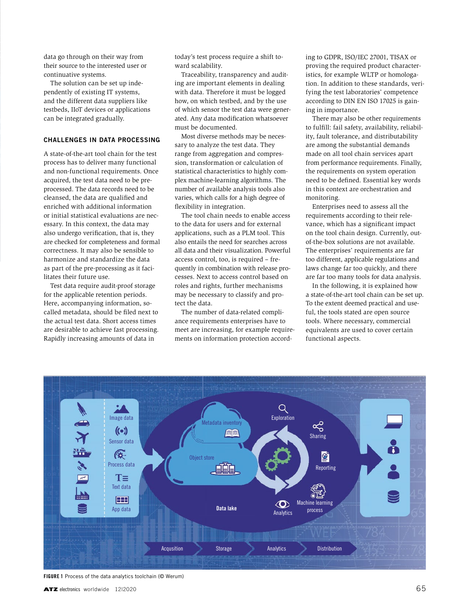data go through on their way from their source to the interested user or continuative systems.

The solution can be set up independently of existing IT systems, and the different data suppliers like testbeds, IIoT devices or applications can be integrated gradually.

# CHALLENGES IN DATA PROCESSING

A state-of-the-art tool chain for the test process has to deliver many functional and non-functional requirements. Once acquired, the test data need to be preprocessed. The data records need to be cleansed, the data are qualified and enriched with additional information or initial statistical evaluations are necessary. In this context, the data may also undergo verification, that is, they are checked for completeness and formal correctness. It may also be sensible to harmonize and standardize the data as part of the pre-processing as it facilitates their future use.

Test data require audit-proof storage for the applicable retention periods. Here, accompanying information, socalled metadata, should be filed next to the actual test data. Short access times are desirable to achieve fast processing. Rapidly increasing amounts of data in

today's test process require a shift to ward scalability.

Traceability, transparency and auditing are important elements in dealing with data. Therefore it must be logged how, on which testbed, and by the use of which sensor the test data were generated. Any data modification whatsoever must be documented.

Most diverse methods may be necessary to analyze the test data. They range from aggregation and compression, transformation or calculation of statistical characteristics to highly complex machine-learning algorithms. The number of available analysis tools also varies, which calls for a high degree of flexibility in integration.

The tool chain needs to enable access to the data for users and for external applications, such as a PLM tool. This also entails the need for searches across all data and their visualization. Powerful access control, too, is required – frequently in combination with release processes. Next to access control based on roles and rights, further mechanisms may be necessary to classify and protect the data.

The number of data-related compliance requirements enterprises have to meet are increasing, for example requirements on information protection according to GDPR, ISO/IEC 27001, TISAX or proving the required product characteristics, for example WLTP or homologation. In addition to these standards, verifying the test laboratories' competence according to DIN EN ISO 17025 is gaining in importance.

There may also be other requirements to fulfill: fail safety, availability, reliability, fault tolerance, and distributability are among the substantial demands made on all tool chain services apart from performance requirements. Finally, the requirements on system operation need to be defined. Essential key words in this context are orchestration and monitoring.

Enterprises need to assess all the requirements according to their relevance, which has a significant impact on the tool chain design. Currently, outof-the-box solutions are not available. The enterprises' requirements are far too different, applicable regulations and laws change far too quickly, and there are far too many tools for data analysis.

In the following, it is explained how a state-of-the-art tool chain can be set up. To the extent deemed practical and useful, the tools stated are open source tools. Where necessary, commercial equivalents are used to cover certain functional aspects.



FIGURE 1 Process of the data analytics toolchain (© Werum)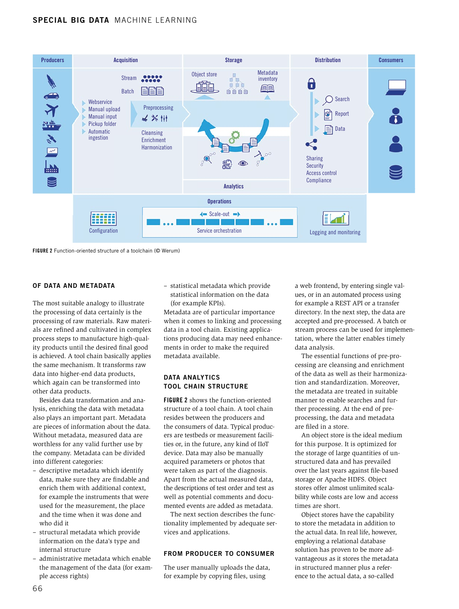# SPECIAL BIG DATA MACHINE LEARNING



FIGURE 2 Function-oriented structure of a toolchain (© Werum)

#### OF DATA AND METADATA

The most suitable analogy to illustrate the processing of data certainly is the processing of raw materials. Raw materials are refined and cultivated in complex process steps to manufacture high-quality products until the desired final good is achieved. A tool chain basically applies the same mechanism. It transforms raw data into higher-end data products, which again can be transformed into other data products.

Besides data transformation and analysis, enriching the data with metadata also plays an important part. Metadata are pieces of information about the data. Without metadata, measured data are worthless for any valid further use by the company. Metadata can be divided into different categories:

- descriptive metadata which identify data, make sure they are findable and enrich them with additional context, for example the instruments that were used for the measurement, the place and the time when it was done and who did it
- structural metadata which provide information on the data's type and internal structure
- administrative metadata which enable the management of the data (for example access rights)

– statistical metadata which provide statistical information on the data (for example KPIs).

Metadata are of particular importance when it comes to linking and processing data in a tool chain. Existing applications producing data may need enhancements in order to make the required metadata available.

## DATA ANALYTICS TOOL CHAIN STRUCTURE

FIGURE 2 shows the function-oriented structure of a tool chain. A tool chain resides between the producers and the consumers of data. Typical producers are testbeds or measurement facilities or, in the future, any kind of IIoT device. Data may also be manually acquired parameters or photos that were taken as part of the diagnosis. Apart from the actual measured data, the descriptions of test order and test as well as potential comments and documented events are added as metadata.

The next section describes the functionality implemented by adequate services and applications.

## FROM PRODUCER TO CONSUMER

The user manually uploads the data, for example by copying files, using

a web frontend, by entering single values, or in an automated process using for example a REST API or a transfer directory. In the next step, the data are accepted and pre-processed. A batch or stream process can be used for implementation, where the latter enables timely data analysis.

The essential functions of pre-processing are cleansing and enrichment of the data as well as their harmonization and standardization. Moreover, the metadata are treated in suitable manner to enable searches and further processing. At the end of preprocessing, the data and metadata are filed in a store.

An object store is the ideal medium for this purpose. It is optimized for the storage of large quantities of unstructured data and has prevailed over the last years against file-based storage or Apache HDFS. Object stores offer almost unlimited scalability while costs are low and access times are short.

Object stores have the capability to store the metadata in addition to the actual data. In real life, however, employing a relational database solution has proven to be more advantageous as it stores the metadata in structured manner plus a reference to the actual data, a so-called